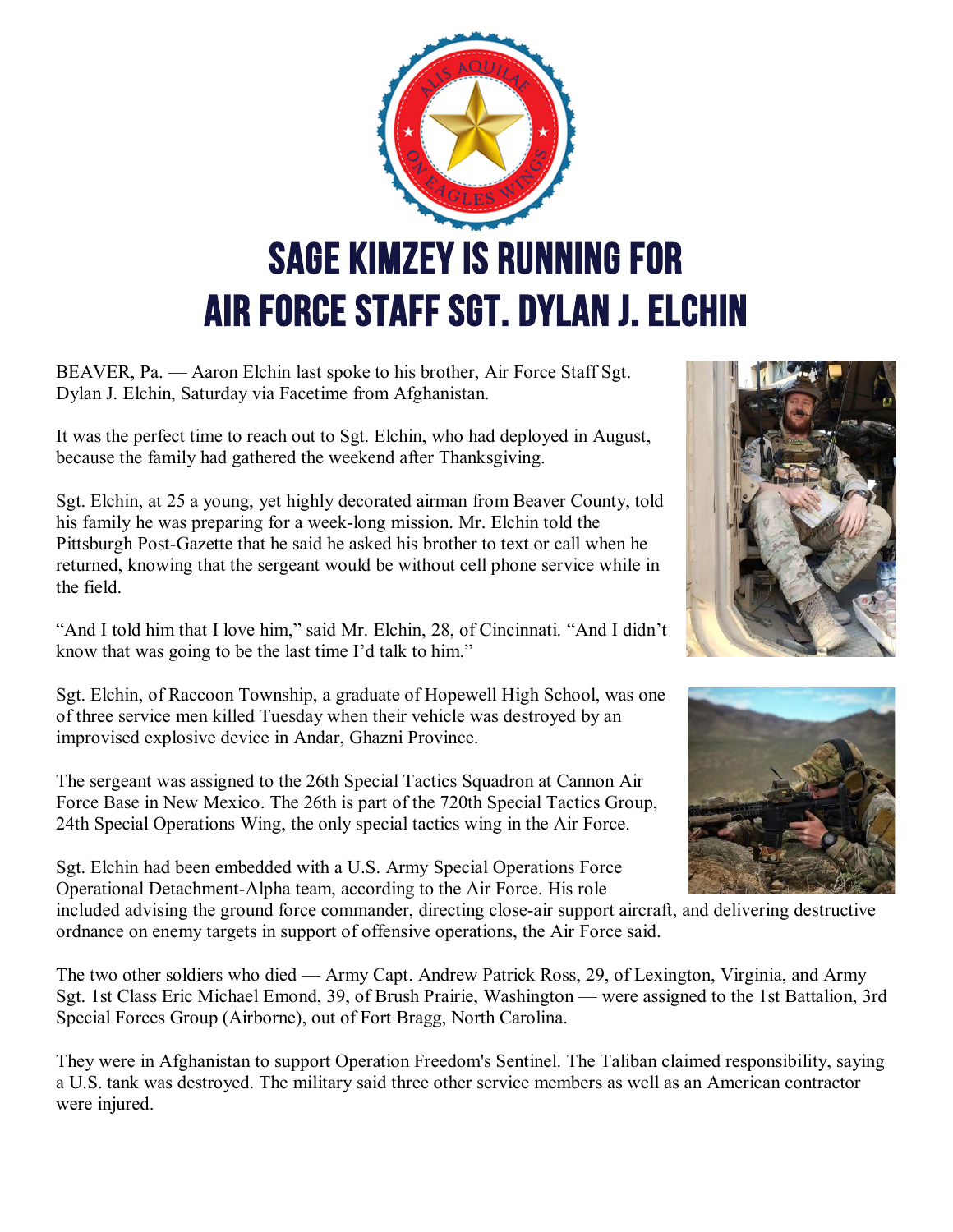

BEAVER, Pa. — Aaron Elchin last spoke to his brother, Air Force Staff Sgt. Dylan J. Elchin, Saturday via Facetime from Afghanistan.

It was the perfect time to reach out to Sgt. Elchin, who had deployed in August, because the family had gathered the weekend after Thanksgiving.

Sgt. Elchin, at 25 a young, yet highly decorated airman from Beaver County, told his family he was preparing for a week-long mission. Mr. Elchin told the Pittsburgh Post-Gazette that he said he asked his brother to text or call when he returned, knowing that the sergeant would be without cell phone service while in the field.

"And I told him that I love him," said Mr. Elchin, 28, of Cincinnati. "And I didn't know that was going to be the last time I'd talk to him."

Sgt. Elchin, of Raccoon Township, a graduate of Hopewell High School, was one of three service men killed Tuesday when their vehicle was destroyed by an improvised explosive device in Andar, Ghazni Province.

The sergeant was assigned to the 26th Special Tactics Squadron at Cannon Air Force Base in New Mexico. The 26th is part of the 720th Special Tactics Group, 24th Special Operations Wing, the only special tactics wing in the Air Force.

Sgt. Elchin had been embedded with a U.S. Army Special Operations Force Operational Detachment-Alpha team, according to the Air Force. His role





included advising the ground force commander, directing close-air support aircraft, and delivering destructive ordnance on enemy targets in support of offensive operations, the Air Force said.

The two other soldiers who died — Army Capt. Andrew Patrick Ross, 29, of Lexington, Virginia, and Army Sgt. 1st Class Eric Michael Emond, 39, of Brush Prairie, Washington — were assigned to the 1st Battalion, 3rd Special Forces Group (Airborne), out of Fort Bragg, North Carolina.

They were in Afghanistan to support Operation Freedom's Sentinel. The Taliban claimed responsibility, saying a U.S. tank was destroyed. The military said three other service members as well as an American contractor were injured.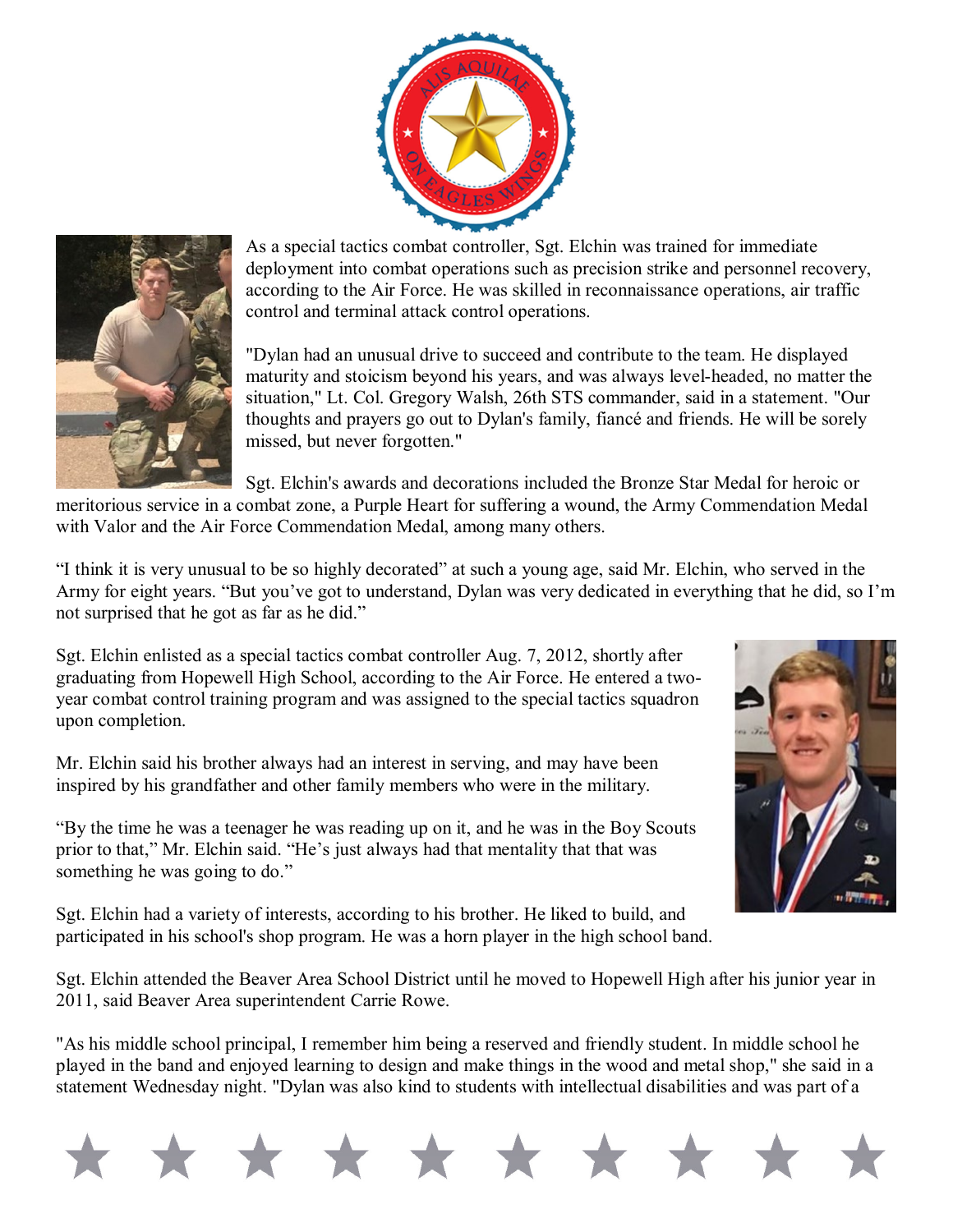



As a special tactics combat controller, Sgt. Elchin was trained for immediate deployment into combat operations such as precision strike and personnel recovery, according to the Air Force. He was skilled in reconnaissance operations, air traffic control and terminal attack control operations.

"Dylan had an unusual drive to succeed and contribute to the team. He displayed maturity and stoicism beyond his years, and was always level-headed, no matter the situation," Lt. Col. Gregory Walsh, 26th STS commander, said in a statement. "Our thoughts and prayers go out to Dylan's family, fiancé and friends. He will be sorely missed, but never forgotten."

Sgt. Elchin's awards and decorations included the Bronze Star Medal for heroic or meritorious service in a combat zone, a Purple Heart for suffering a wound, the Army Commendation Medal

with Valor and the Air Force Commendation Medal, among many others.

"I think it is very unusual to be so highly decorated" at such a young age, said Mr. Elchin, who served in the Army for eight years. "But you've got to understand, Dylan was very dedicated in everything that he did, so I'm not surprised that he got as far as he did."

Sgt. Elchin enlisted as a special tactics combat controller Aug. 7, 2012, shortly after graduating from Hopewell High School, according to the Air Force. He entered a twoyear combat control training program and was assigned to the special tactics squadron upon completion.

Mr. Elchin said his brother always had an interest in serving, and may have been inspired by his grandfather and other family members who were in the military.

"By the time he was a teenager he was reading up on it, and he was in the Boy Scouts prior to that," Mr. Elchin said. "He's just always had that mentality that that was something he was going to do."

Sgt. Elchin had a variety of interests, according to his brother. He liked to build, and participated in his school's shop program. He was a horn player in the high school band.



Sgt. Elchin attended the Beaver Area School District until he moved to Hopewell High after his junior year in 2011, said Beaver Area superintendent Carrie Rowe.

"As his middle school principal, I remember him being a reserved and friendly student. In middle school he played in the band and enjoyed learning to design and make things in the wood and metal shop," she said in a statement Wednesday night. "Dylan was also kind to students with intellectual disabilities and was part of a